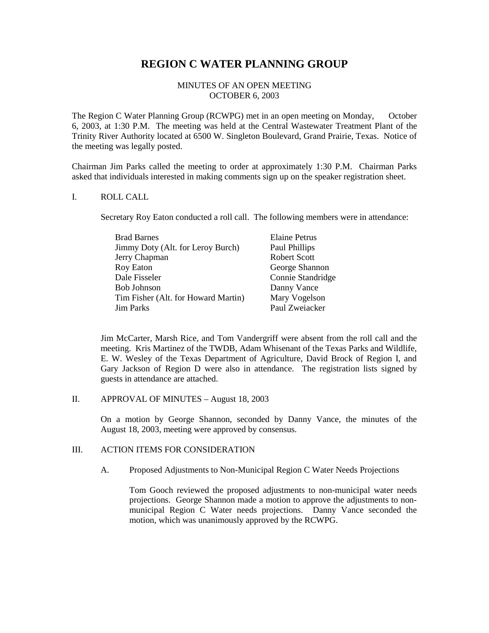# **REGION C WATER PLANNING GROUP**

## MINUTES OF AN OPEN MEETING OCTOBER 6, 2003

The Region C Water Planning Group (RCWPG) met in an open meeting on Monday, October 6, 2003, at 1:30 P.M. The meeting was held at the Central Wastewater Treatment Plant of the Trinity River Authority located at 6500 W. Singleton Boulevard, Grand Prairie, Texas. Notice of the meeting was legally posted.

Chairman Jim Parks called the meeting to order at approximately 1:30 P.M. Chairman Parks asked that individuals interested in making comments sign up on the speaker registration sheet.

## I. ROLL CALL

Secretary Roy Eaton conducted a roll call. The following members were in attendance:

| <b>Brad Barnes</b>                  | <b>Elaine Petrus</b> |
|-------------------------------------|----------------------|
| Jimmy Doty (Alt. for Leroy Burch)   | Paul Phillips        |
| Jerry Chapman                       | <b>Robert Scott</b>  |
| Roy Eaton                           | George Shannon       |
| Dale Fisseler                       | Connie Standridge    |
| Bob Johnson                         | Danny Vance          |
| Tim Fisher (Alt. for Howard Martin) | Mary Vogelson        |
| Jim Parks                           | Paul Zweiacker       |

Jim McCarter, Marsh Rice, and Tom Vandergriff were absent from the roll call and the meeting. Kris Martinez of the TWDB, Adam Whisenant of the Texas Parks and Wildlife, E. W. Wesley of the Texas Department of Agriculture, David Brock of Region I, and Gary Jackson of Region D were also in attendance. The registration lists signed by guests in attendance are attached.

II. APPROVAL OF MINUTES – August 18, 2003

On a motion by George Shannon, seconded by Danny Vance, the minutes of the August 18, 2003, meeting were approved by consensus.

## III. ACTION ITEMS FOR CONSIDERATION

A. Proposed Adjustments to Non-Municipal Region C Water Needs Projections

Tom Gooch reviewed the proposed adjustments to non-municipal water needs projections. George Shannon made a motion to approve the adjustments to nonmunicipal Region C Water needs projections. Danny Vance seconded the motion, which was unanimously approved by the RCWPG.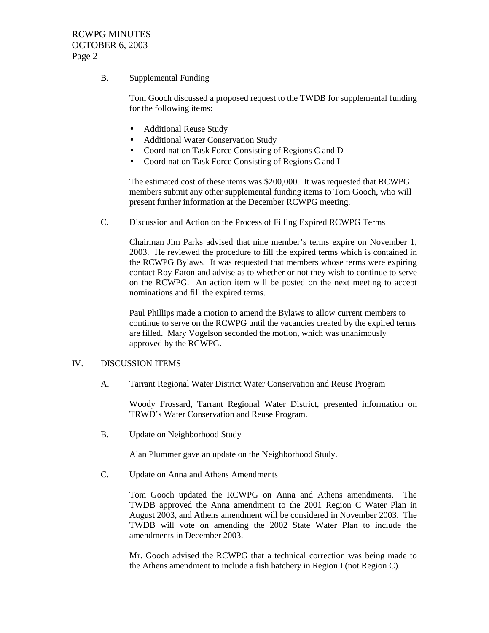RCWPG MINUTES OCTOBER 6, 2003 Page 2

B. Supplemental Funding

Tom Gooch discussed a proposed request to the TWDB for supplemental funding for the following items:

- Additional Reuse Study
- Additional Water Conservation Study
- Coordination Task Force Consisting of Regions C and D
- Coordination Task Force Consisting of Regions C and I

The estimated cost of these items was \$200,000. It was requested that RCWPG members submit any other supplemental funding items to Tom Gooch, who will present further information at the December RCWPG meeting.

C. Discussion and Action on the Process of Filling Expired RCWPG Terms

Chairman Jim Parks advised that nine member's terms expire on November 1, 2003. He reviewed the procedure to fill the expired terms which is contained in the RCWPG Bylaws. It was requested that members whose terms were expiring contact Roy Eaton and advise as to whether or not they wish to continue to serve on the RCWPG. An action item will be posted on the next meeting to accept nominations and fill the expired terms.

Paul Phillips made a motion to amend the Bylaws to allow current members to continue to serve on the RCWPG until the vacancies created by the expired terms are filled. Mary Vogelson seconded the motion, which was unanimously approved by the RCWPG.

### IV. DISCUSSION ITEMS

A. Tarrant Regional Water District Water Conservation and Reuse Program

Woody Frossard, Tarrant Regional Water District, presented information on TRWD's Water Conservation and Reuse Program.

B. Update on Neighborhood Study

Alan Plummer gave an update on the Neighborhood Study.

C. Update on Anna and Athens Amendments

Tom Gooch updated the RCWPG on Anna and Athens amendments. The TWDB approved the Anna amendment to the 2001 Region C Water Plan in August 2003, and Athens amendment will be considered in November 2003. The TWDB will vote on amending the 2002 State Water Plan to include the amendments in December 2003.

Mr. Gooch advised the RCWPG that a technical correction was being made to the Athens amendment to include a fish hatchery in Region I (not Region C).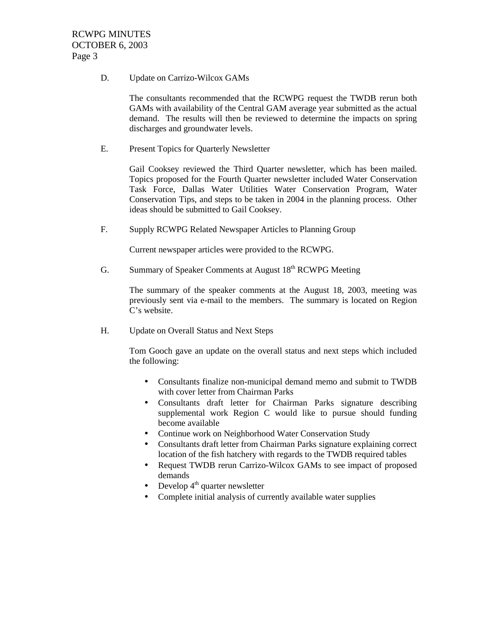D. Update on Carrizo-Wilcox GAMs

The consultants recommended that the RCWPG request the TWDB rerun both GAMs with availability of the Central GAM average year submitted as the actual demand. The results will then be reviewed to determine the impacts on spring discharges and groundwater levels.

E. Present Topics for Quarterly Newsletter

Gail Cooksey reviewed the Third Quarter newsletter, which has been mailed. Topics proposed for the Fourth Quarter newsletter included Water Conservation Task Force, Dallas Water Utilities Water Conservation Program, Water Conservation Tips, and steps to be taken in 2004 in the planning process. Other ideas should be submitted to Gail Cooksey.

F. Supply RCWPG Related Newspaper Articles to Planning Group

Current newspaper articles were provided to the RCWPG.

G. Summary of Speaker Comments at August  $18<sup>th</sup> R C W P G$  Meeting

The summary of the speaker comments at the August 18, 2003, meeting was previously sent via e-mail to the members. The summary is located on Region C's website.

H. Update on Overall Status and Next Steps

Tom Gooch gave an update on the overall status and next steps which included the following:

- Consultants finalize non-municipal demand memo and submit to TWDB with cover letter from Chairman Parks
- Consultants draft letter for Chairman Parks signature describing supplemental work Region C would like to pursue should funding become available
- Continue work on Neighborhood Water Conservation Study
- Consultants draft letter from Chairman Parks signature explaining correct location of the fish hatchery with regards to the TWDB required tables
- Request TWDB rerun Carrizo-Wilcox GAMs to see impact of proposed demands
- Develop  $4^{\text{th}}$  quarter newsletter
- Complete initial analysis of currently available water supplies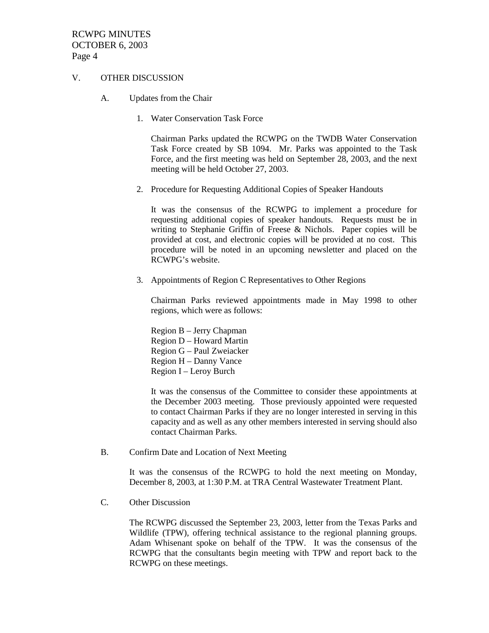RCWPG MINUTES OCTOBER 6, 2003 Page 4

### V. OTHER DISCUSSION

- A. Updates from the Chair
	- 1. Water Conservation Task Force

Chairman Parks updated the RCWPG on the TWDB Water Conservation Task Force created by SB 1094. Mr. Parks was appointed to the Task Force, and the first meeting was held on September 28, 2003, and the next meeting will be held October 27, 2003.

2. Procedure for Requesting Additional Copies of Speaker Handouts

It was the consensus of the RCWPG to implement a procedure for requesting additional copies of speaker handouts. Requests must be in writing to Stephanie Griffin of Freese & Nichols. Paper copies will be provided at cost, and electronic copies will be provided at no cost. This procedure will be noted in an upcoming newsletter and placed on the RCWPG's website.

3. Appointments of Region C Representatives to Other Regions

Chairman Parks reviewed appointments made in May 1998 to other regions, which were as follows:

Region B – Jerry Chapman Region D – Howard Martin Region G – Paul Zweiacker Region H – Danny Vance Region I – Leroy Burch

It was the consensus of the Committee to consider these appointments at the December 2003 meeting. Those previously appointed were requested to contact Chairman Parks if they are no longer interested in serving in this capacity and as well as any other members interested in serving should also contact Chairman Parks.

B. Confirm Date and Location of Next Meeting

It was the consensus of the RCWPG to hold the next meeting on Monday, December 8, 2003, at 1:30 P.M. at TRA Central Wastewater Treatment Plant.

C. Other Discussion

The RCWPG discussed the September 23, 2003, letter from the Texas Parks and Wildlife (TPW), offering technical assistance to the regional planning groups. Adam Whisenant spoke on behalf of the TPW. It was the consensus of the RCWPG that the consultants begin meeting with TPW and report back to the RCWPG on these meetings.